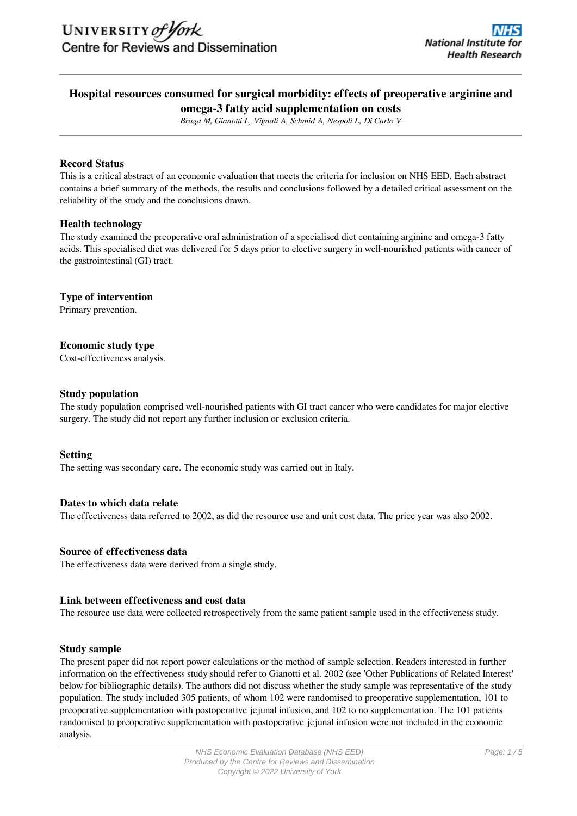## **Hospital resources consumed for surgical morbidity: effects of preoperative arginine and omega-3 fatty acid supplementation on costs**

*Braga M, Gianotti L, Vignali A, Schmid A, Nespoli L, Di Carlo V*

### **Record Status**

This is a critical abstract of an economic evaluation that meets the criteria for inclusion on NHS EED. Each abstract contains a brief summary of the methods, the results and conclusions followed by a detailed critical assessment on the reliability of the study and the conclusions drawn.

### **Health technology**

The study examined the preoperative oral administration of a specialised diet containing arginine and omega-3 fatty acids. This specialised diet was delivered for 5 days prior to elective surgery in well-nourished patients with cancer of the gastrointestinal (GI) tract.

### **Type of intervention**

Primary prevention.

#### **Economic study type**

Cost-effectiveness analysis.

#### **Study population**

The study population comprised well-nourished patients with GI tract cancer who were candidates for major elective surgery. The study did not report any further inclusion or exclusion criteria.

#### **Setting**

The setting was secondary care. The economic study was carried out in Italy.

#### **Dates to which data relate**

The effectiveness data referred to 2002, as did the resource use and unit cost data. The price year was also 2002.

#### **Source of effectiveness data**

The effectiveness data were derived from a single study.

#### **Link between effectiveness and cost data**

The resource use data were collected retrospectively from the same patient sample used in the effectiveness study.

#### **Study sample**

The present paper did not report power calculations or the method of sample selection. Readers interested in further information on the effectiveness study should refer to Gianotti et al. 2002 (see 'Other Publications of Related Interest' below for bibliographic details). The authors did not discuss whether the study sample was representative of the study population. The study included 305 patients, of whom 102 were randomised to preoperative supplementation, 101 to preoperative supplementation with postoperative jejunal infusion, and 102 to no supplementation. The 101 patients randomised to preoperative supplementation with postoperative jejunal infusion were not included in the economic analysis.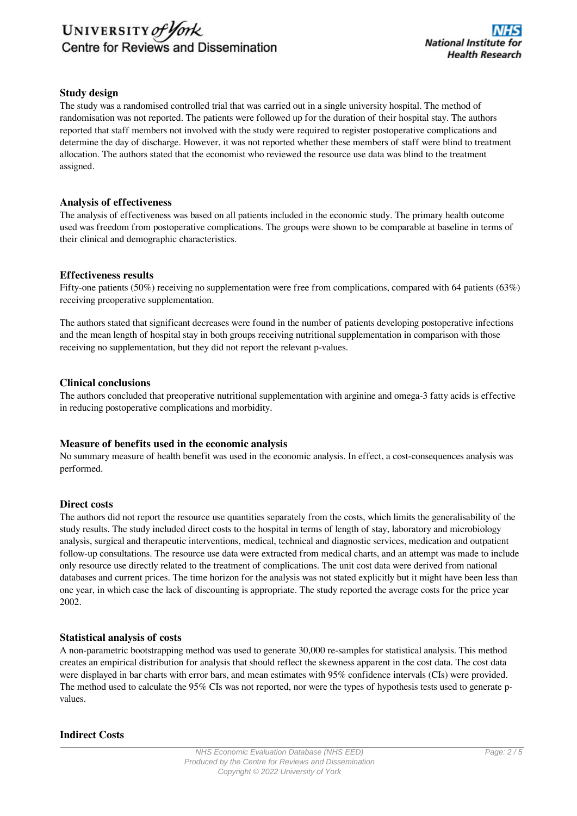# UNIVERSITY of York Centre for Reviews and Dissemination

## **Study design**

The study was a randomised controlled trial that was carried out in a single university hospital. The method of randomisation was not reported. The patients were followed up for the duration of their hospital stay. The authors reported that staff members not involved with the study were required to register postoperative complications and determine the day of discharge. However, it was not reported whether these members of staff were blind to treatment allocation. The authors stated that the economist who reviewed the resource use data was blind to the treatment assigned.

### **Analysis of effectiveness**

The analysis of effectiveness was based on all patients included in the economic study. The primary health outcome used was freedom from postoperative complications. The groups were shown to be comparable at baseline in terms of their clinical and demographic characteristics.

### **Effectiveness results**

Fifty-one patients (50%) receiving no supplementation were free from complications, compared with 64 patients (63%) receiving preoperative supplementation.

The authors stated that significant decreases were found in the number of patients developing postoperative infections and the mean length of hospital stay in both groups receiving nutritional supplementation in comparison with those receiving no supplementation, but they did not report the relevant p-values.

### **Clinical conclusions**

The authors concluded that preoperative nutritional supplementation with arginine and omega-3 fatty acids is effective in reducing postoperative complications and morbidity.

### **Measure of benefits used in the economic analysis**

No summary measure of health benefit was used in the economic analysis. In effect, a cost-consequences analysis was performed.

### **Direct costs**

The authors did not report the resource use quantities separately from the costs, which limits the generalisability of the study results. The study included direct costs to the hospital in terms of length of stay, laboratory and microbiology analysis, surgical and therapeutic interventions, medical, technical and diagnostic services, medication and outpatient follow-up consultations. The resource use data were extracted from medical charts, and an attempt was made to include only resource use directly related to the treatment of complications. The unit cost data were derived from national databases and current prices. The time horizon for the analysis was not stated explicitly but it might have been less than one year, in which case the lack of discounting is appropriate. The study reported the average costs for the price year 2002.

### **Statistical analysis of costs**

A non-parametric bootstrapping method was used to generate 30,000 re-samples for statistical analysis. This method creates an empirical distribution for analysis that should reflect the skewness apparent in the cost data. The cost data were displayed in bar charts with error bars, and mean estimates with 95% confidence intervals (CIs) were provided. The method used to calculate the 95% CIs was not reported, nor were the types of hypothesis tests used to generate pvalues.

### **Indirect Costs**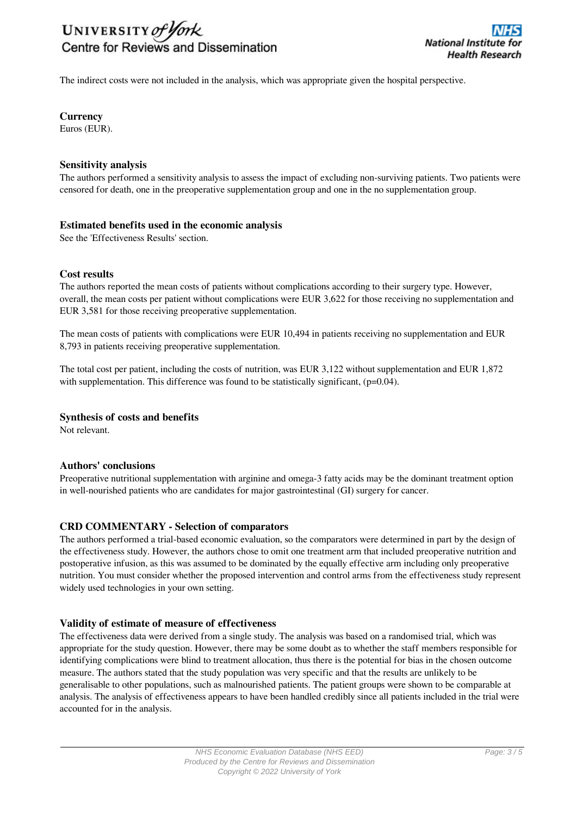# UNIVERSITY of York Centre for Reviews and Dissemination

The indirect costs were not included in the analysis, which was appropriate given the hospital perspective.

## **Currency**

Euros (EUR).

### **Sensitivity analysis**

The authors performed a sensitivity analysis to assess the impact of excluding non-surviving patients. Two patients were censored for death, one in the preoperative supplementation group and one in the no supplementation group.

#### **Estimated benefits used in the economic analysis**

See the 'Effectiveness Results' section.

### **Cost results**

The authors reported the mean costs of patients without complications according to their surgery type. However, overall, the mean costs per patient without complications were EUR 3,622 for those receiving no supplementation and EUR 3,581 for those receiving preoperative supplementation.

The mean costs of patients with complications were EUR 10,494 in patients receiving no supplementation and EUR 8,793 in patients receiving preoperative supplementation.

The total cost per patient, including the costs of nutrition, was EUR 3,122 without supplementation and EUR 1,872 with supplementation. This difference was found to be statistically significant,  $(p=0.04)$ .

### **Synthesis of costs and benefits**

Not relevant.

### **Authors' conclusions**

Preoperative nutritional supplementation with arginine and omega-3 fatty acids may be the dominant treatment option in well-nourished patients who are candidates for major gastrointestinal (GI) surgery for cancer.

### **CRD COMMENTARY - Selection of comparators**

The authors performed a trial-based economic evaluation, so the comparators were determined in part by the design of the effectiveness study. However, the authors chose to omit one treatment arm that included preoperative nutrition and postoperative infusion, as this was assumed to be dominated by the equally effective arm including only preoperative nutrition. You must consider whether the proposed intervention and control arms from the effectiveness study represent widely used technologies in your own setting.

### **Validity of estimate of measure of effectiveness**

The effectiveness data were derived from a single study. The analysis was based on a randomised trial, which was appropriate for the study question. However, there may be some doubt as to whether the staff members responsible for identifying complications were blind to treatment allocation, thus there is the potential for bias in the chosen outcome measure. The authors stated that the study population was very specific and that the results are unlikely to be generalisable to other populations, such as malnourished patients. The patient groups were shown to be comparable at analysis. The analysis of effectiveness appears to have been handled credibly since all patients included in the trial were accounted for in the analysis.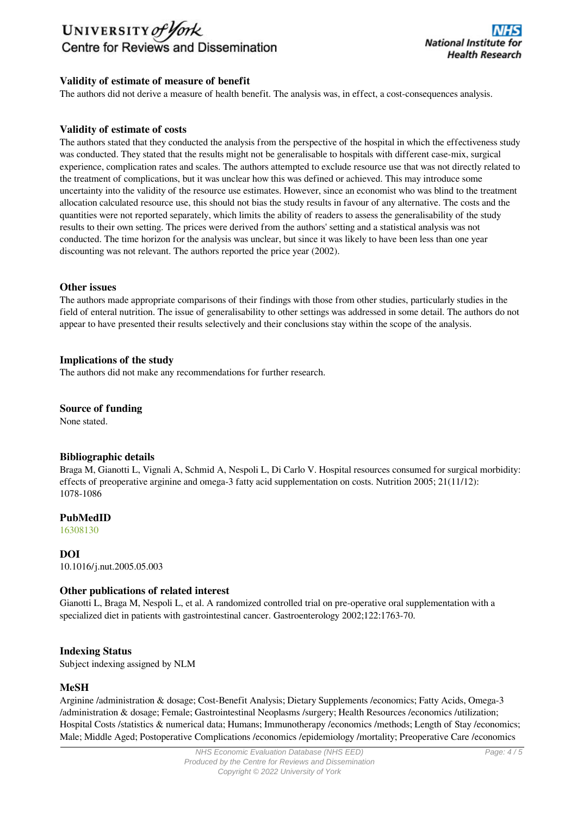# UNIVERSITY of York Centre for Reviews and Dissemination

## **Validity of estimate of measure of benefit**

The authors did not derive a measure of health benefit. The analysis was, in effect, a cost-consequences analysis.

## **Validity of estimate of costs**

The authors stated that they conducted the analysis from the perspective of the hospital in which the effectiveness study was conducted. They stated that the results might not be generalisable to hospitals with different case-mix, surgical experience, complication rates and scales. The authors attempted to exclude resource use that was not directly related to the treatment of complications, but it was unclear how this was defined or achieved. This may introduce some uncertainty into the validity of the resource use estimates. However, since an economist who was blind to the treatment allocation calculated resource use, this should not bias the study results in favour of any alternative. The costs and the quantities were not reported separately, which limits the ability of readers to assess the generalisability of the study results to their own setting. The prices were derived from the authors' setting and a statistical analysis was not conducted. The time horizon for the analysis was unclear, but since it was likely to have been less than one year discounting was not relevant. The authors reported the price year (2002).

#### **Other issues**

The authors made appropriate comparisons of their findings with those from other studies, particularly studies in the field of enteral nutrition. The issue of generalisability to other settings was addressed in some detail. The authors do not appear to have presented their results selectively and their conclusions stay within the scope of the analysis.

### **Implications of the study**

The authors did not make any recommendations for further research.

### **Source of funding**

None stated.

### **Bibliographic details**

Braga M, Gianotti L, Vignali A, Schmid A, Nespoli L, Di Carlo V. Hospital resources consumed for surgical morbidity: effects of preoperative arginine and omega-3 fatty acid supplementation on costs. Nutrition 2005; 21(11/12): 1078-1086

## **PubMedID**

[16308130](http://www.ncbi.nlm.nih.gov/pubmed?term=16308130)

**DOI** 10.1016/j.nut.2005.05.003

### **Other publications of related interest**

Gianotti L, Braga M, Nespoli L, et al. A randomized controlled trial on pre-operative oral supplementation with a specialized diet in patients with gastrointestinal cancer. Gastroenterology 2002;122:1763-70.

### **Indexing Status**

Subject indexing assigned by NLM

### **MeSH**

Arginine /administration & dosage; Cost-Benefit Analysis; Dietary Supplements /economics; Fatty Acids, Omega-3 /administration & dosage; Female; Gastrointestinal Neoplasms /surgery; Health Resources /economics /utilization; Hospital Costs /statistics & numerical data; Humans; Immunotherapy /economics /methods; Length of Stay /economics; Male; Middle Aged; Postoperative Complications /economics /epidemiology /mortality; Preoperative Care /economics